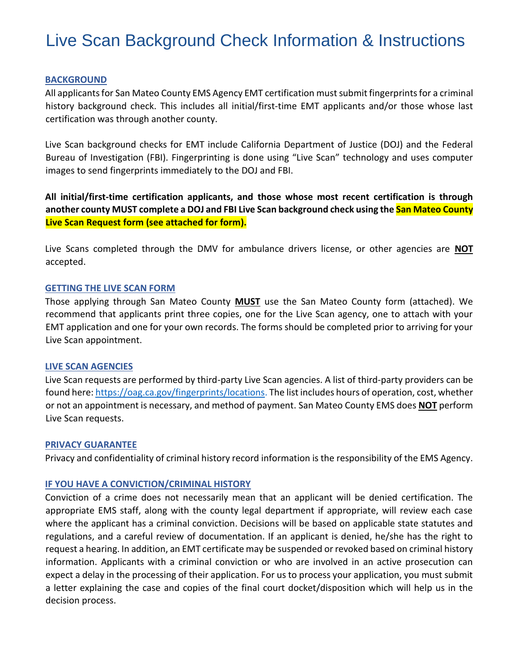# Live Scan Background Check Information & Instructions

## **BACKGROUND**

All applicants for San Mateo County EMS Agency EMT certification must submit fingerprints for a criminal history background check. This includes all initial/first-time EMT applicants and/or those whose last certification was through another county.

Live Scan background checks for EMT include California Department of Justice (DOJ) and the Federal Bureau of Investigation (FBI). Fingerprinting is done using "Live Scan" technology and uses computer images to send fingerprints immediately to the DOJ and FBI.

**All initial/first-time certification applicants, and those whose most recent certification is through another county MUST complete a DOJ and FBI Live Scan background check using the San Mateo County Live Scan Request form (see attached for form).** 

Live Scans completed through the DMV for ambulance drivers license, or other agencies are **NOT** accepted.

### **GETTING THE LIVE SCAN FORM**

Those applying through San Mateo County **MUST** use the San Mateo County form (attached). We recommend that applicants print three copies, one for the Live Scan agency, one to attach with your EMT application and one for your own records. The forms should be completed prior to arriving for your Live Scan appointment.

# **LIVE SCAN AGENCIES**

Live Scan requests are performed by third-party Live Scan agencies. A list of third-party providers can be found here[: https://oag.ca.gov/fingerprints/locations.](https://oag.ca.gov/fingerprints/locations) The list includes hours of operation, cost, whether or not an appointment is necessary, and method of payment. San Mateo County EMS does **NOT** perform Live Scan requests.

### **PRIVACY GUARANTEE**

Privacy and confidentiality of criminal history record information is the responsibility of the EMS Agency.

# **IF YOU HAVE A CONVICTION/CRIMINAL HISTORY**

Conviction of a crime does not necessarily mean that an applicant will be denied certification. The appropriate EMS staff, along with the county legal department if appropriate, will review each case where the applicant has a criminal conviction. Decisions will be based on applicable state statutes and regulations, and a careful review of documentation. If an applicant is denied, he/she has the right to request a hearing. In addition, an EMT certificate may be suspended or revoked based on criminal history information. Applicants with a criminal conviction or who are involved in an active prosecution can expect a delay in the processing of their application. For us to process your application, you must submit a letter explaining the case and copies of the final court docket/disposition which will help us in the decision process.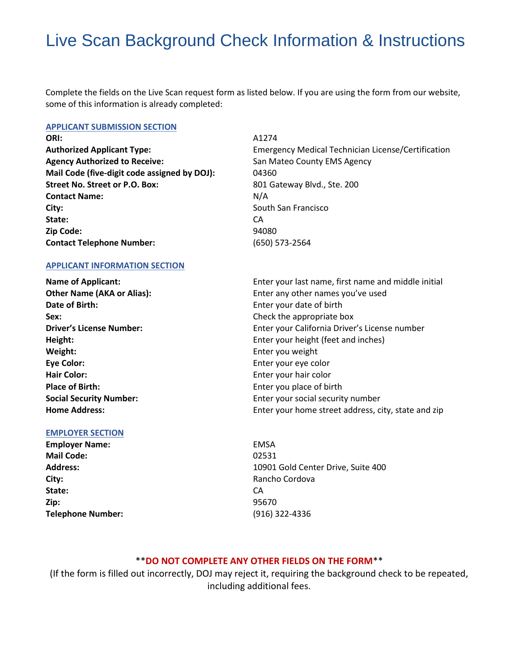# Live Scan Background Check Information & Instructions

Complete the fields on the Live Scan request form as listed below. If you are using the form from our website, some of this information is already completed:

#### **APPLICANT SUBMISSION SECTION**

**ORI:** A1274 **Agency Authorized to Receive: San Mateo County EMS Agency Mail Code (five-digit code assigned by DOJ):** 04360 **Street No. Street or P.O. Box:** 801 Gateway Blvd., Ste. 200 **Contact Name:** N/A **City: City: South San Francisco City: South San Francisco State:** CA **Zip Code:** 94080 **Contact Telephone Number:** 

**APPLICANT INFORMATION SECTION**

**Date of Birth: Enter your date of birth Date of birth Sex:** Check the appropriate box **Weight:** Enter you weight **Eye Color:** Enter your eye color **Hair Color: Enter your hair color Place of Birth: Place of Birth: Enter you place of birth** 

### **EMPLOYER SECTION**

**Employer Name:** EMSA **Mail Code:** 02531 **City: City: Rancho Cordova State:** CA **Zip:** 95670 **Telephone Number:** (916) 322-4336

**Authorized Applicant Type:** Emergency Medical Technician License/Certification (650) 573-2564

**Name of Applicant:** Enter your last name, first name and middle initial **Other Name (AKA or Alias):** Enter any other names you've used **Driver's License Number: Enter your California Driver's License number Driver's License number Height: Enter your height (feet and inches) Enter your height (feet and inches) Social Security Number:** Enter your social security number **Home Address:** Enter your home street address, city, state and zip

**Address:** 10901 Gold Center Drive, Suite 400

# \*\***DO NOT COMPLETE ANY OTHER FIELDS ON THE FORM**\*\*

(If the form is filled out incorrectly, DOJ may reject it, requiring the background check to be repeated, including additional fees.